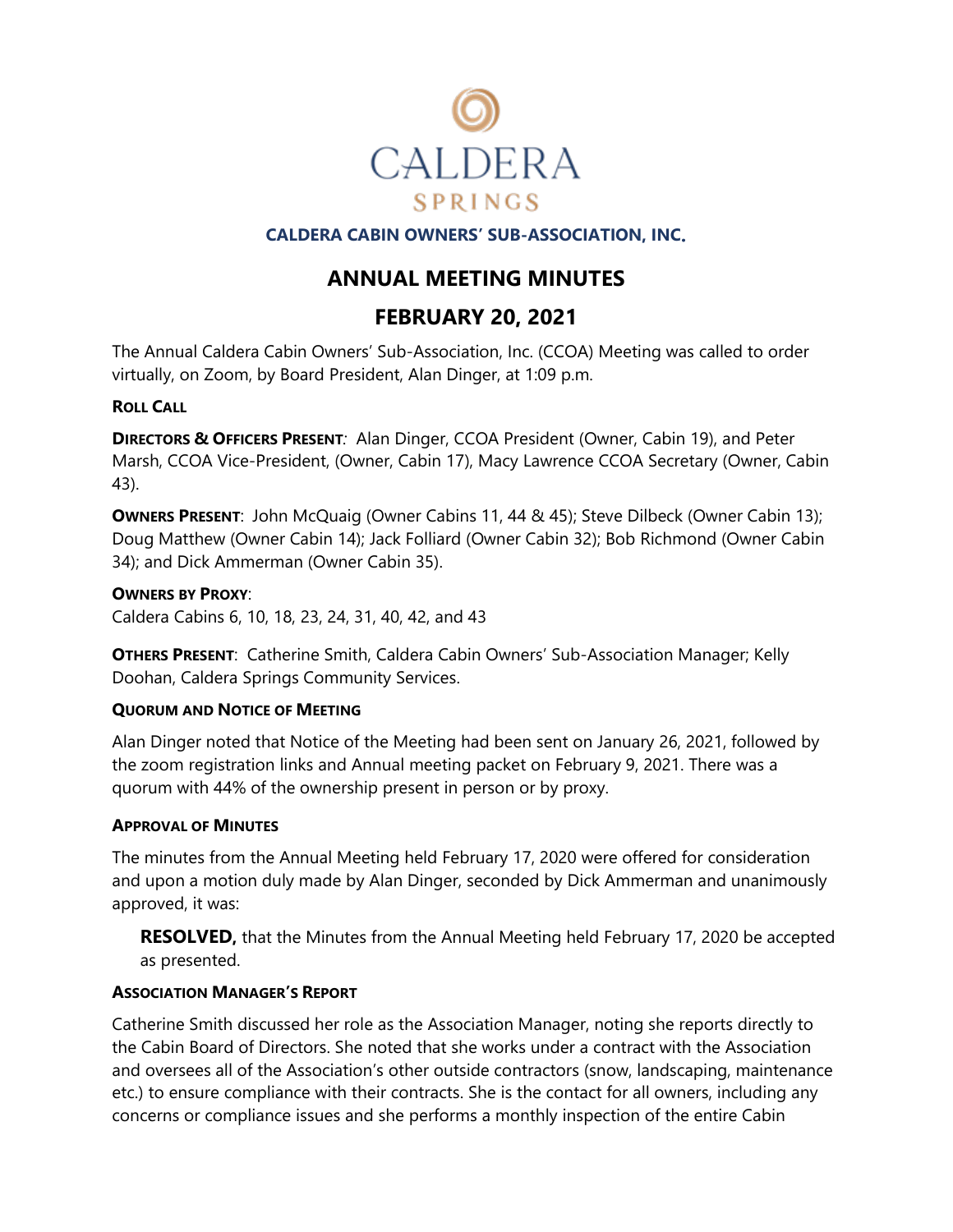

## **CALDERA CABIN OWNERS' SUB-ASSOCIATION, INC**.

## **ANNUAL MEETING MINUTES**

# **FEBRUARY 20, 2021**

The Annual Caldera Cabin Owners' Sub-Association, Inc. (CCOA) Meeting was called to order virtually, on Zoom, by Board President, Alan Dinger, at 1:09 p.m.

## **ROLL CALL**

**DIRECTORS & OFFICERS PRESENT***:* Alan Dinger, CCOA President (Owner, Cabin 19), and Peter Marsh, CCOA Vice-President, (Owner, Cabin 17), Macy Lawrence CCOA Secretary (Owner, Cabin 43).

**OWNERS PRESENT:** John McQuaig (Owner Cabins 11, 44 & 45); Steve Dilbeck (Owner Cabin 13); Doug Matthew (Owner Cabin 14); Jack Folliard (Owner Cabin 32); Bob Richmond (Owner Cabin 34); and Dick Ammerman (Owner Cabin 35).

## **OWNERS BY PROXY**:

Caldera Cabins 6, 10, 18, 23, 24, 31, 40, 42, and 43

**OTHERS PRESENT**: Catherine Smith, Caldera Cabin Owners' Sub-Association Manager; Kelly Doohan, Caldera Springs Community Services.

## **QUORUM AND NOTICE OF MEETING**

Alan Dinger noted that Notice of the Meeting had been sent on January 26, 2021, followed by the zoom registration links and Annual meeting packet on February 9, 2021. There was a quorum with 44% of the ownership present in person or by proxy.

## **APPROVAL OF MINUTES**

The minutes from the Annual Meeting held February 17, 2020 were offered for consideration and upon a motion duly made by Alan Dinger, seconded by Dick Ammerman and unanimously approved, it was:

**RESOLVED,** that the Minutes from the Annual Meeting held February 17, 2020 be accepted as presented.

## **ASSOCIATION MANAGER'S REPORT**

Catherine Smith discussed her role as the Association Manager, noting she reports directly to the Cabin Board of Directors. She noted that she works under a contract with the Association and oversees all of the Association's other outside contractors (snow, landscaping, maintenance etc.) to ensure compliance with their contracts. She is the contact for all owners, including any concerns or compliance issues and she performs a monthly inspection of the entire Cabin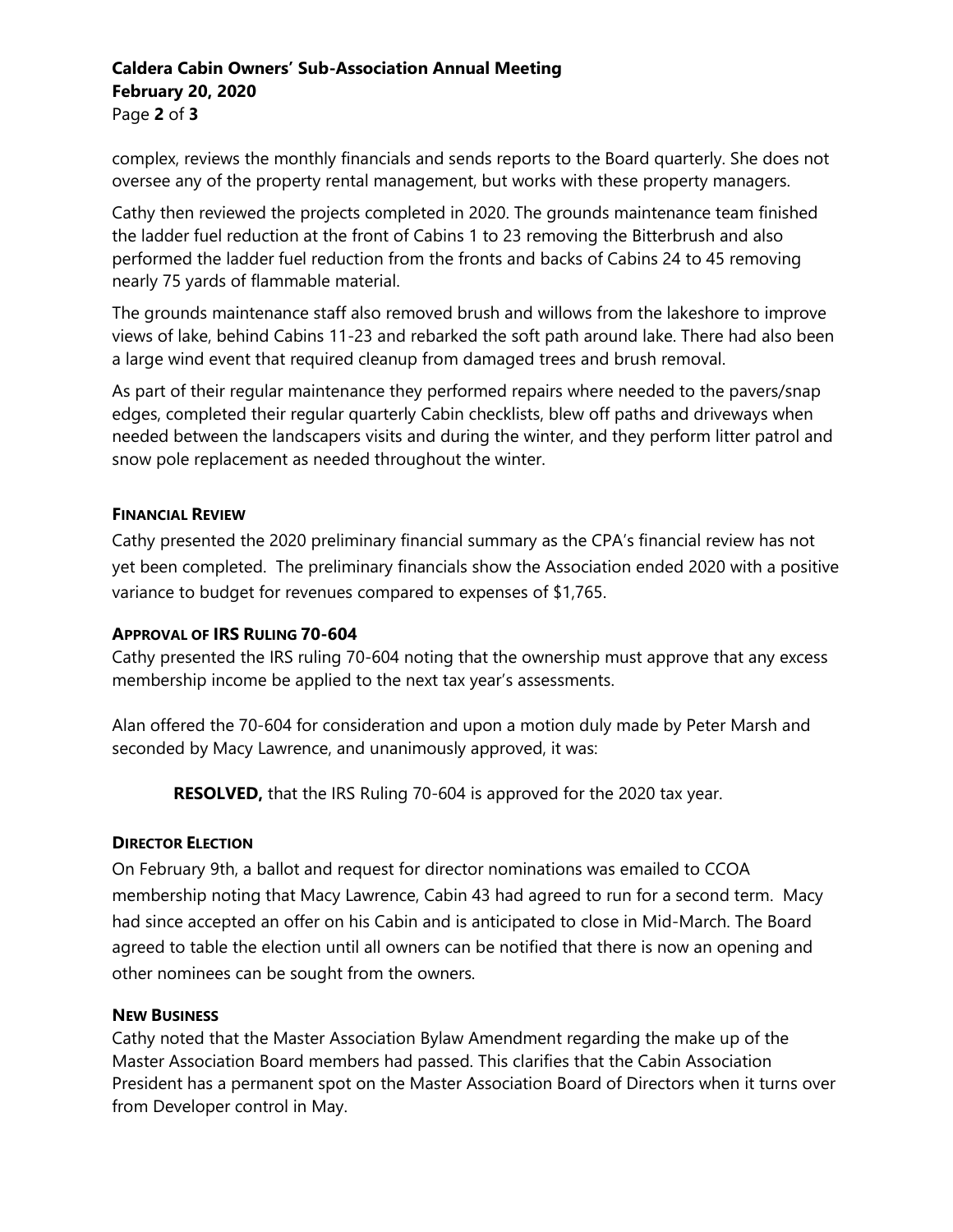## **Caldera Cabin Owners' Sub-Association Annual Meeting February 20, 2020** Page **2** of **3**

complex, reviews the monthly financials and sends reports to the Board quarterly. She does not oversee any of the property rental management, but works with these property managers.

Cathy then reviewed the projects completed in 2020. The grounds maintenance team finished the ladder fuel reduction at the front of Cabins 1 to 23 removing the Bitterbrush and also performed the ladder fuel reduction from the fronts and backs of Cabins 24 to 45 removing nearly 75 yards of flammable material.

The grounds maintenance staff also removed brush and willows from the lakeshore to improve views of lake, behind Cabins 11-23 and rebarked the soft path around lake. There had also been a large wind event that required cleanup from damaged trees and brush removal.

As part of their regular maintenance they performed repairs where needed to the pavers/snap edges, completed their regular quarterly Cabin checklists, blew off paths and driveways when needed between the landscapers visits and during the winter, and they perform litter patrol and snow pole replacement as needed throughout the winter.

## **FINANCIAL REVIEW**

Cathy presented the 2020 preliminary financial summary as the CPA's financial review has not yet been completed. The preliminary financials show the Association ended 2020 with a positive variance to budget for revenues compared to expenses of \$1,765.

## **APPROVAL OF IRS RULING 70-604**

Cathy presented the IRS ruling 70-604 noting that the ownership must approve that any excess membership income be applied to the next tax year's assessments.

Alan offered the 70-604 for consideration and upon a motion duly made by Peter Marsh and seconded by Macy Lawrence, and unanimously approved, it was:

**RESOLVED,** that the IRS Ruling 70-604 is approved for the 2020 tax year.

## **DIRECTOR ELECTION**

On February 9th, a ballot and request for director nominations was emailed to CCOA membership noting that Macy Lawrence, Cabin 43 had agreed to run for a second term. Macy had since accepted an offer on his Cabin and is anticipated to close in Mid-March. The Board agreed to table the election until all owners can be notified that there is now an opening and other nominees can be sought from the owners.

## **NEW BUSINESS**

Cathy noted that the Master Association Bylaw Amendment regarding the make up of the Master Association Board members had passed. This clarifies that the Cabin Association President has a permanent spot on the Master Association Board of Directors when it turns over from Developer control in May.